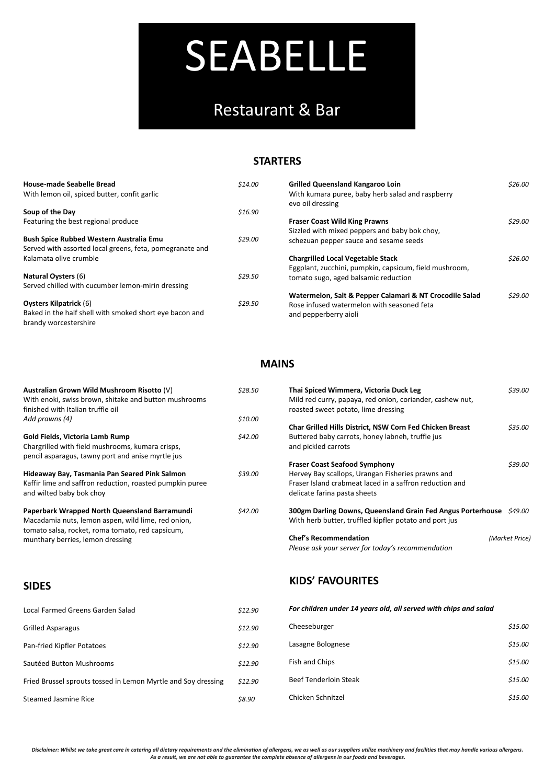*Disclaimer: Whilst we take great care in catering all dietary requirements and the elimination of allergens, we as well as our suppliers utilize machinery and facilities that may handle various allergens. As a result, we are not able to guarantee the complete absence of allergens in our foods and beverages.*

#### **STARTERS**

| <b>House-made Seabelle Bread</b>                         | \$14.00 | <b>Grilled Queensland Kangaroo Loin</b>                 | \$26.00 |
|----------------------------------------------------------|---------|---------------------------------------------------------|---------|
| With lemon oil, spiced butter, confit garlic             |         | With kumara puree, baby herb salad and raspberry        |         |
|                                                          |         | evo oil dressing                                        |         |
| Soup of the Day                                          | \$16.90 |                                                         |         |
| Featuring the best regional produce                      |         | <b>Fraser Coast Wild King Prawns</b>                    | \$29.00 |
|                                                          |         | Sizzled with mixed peppers and baby bok choy,           |         |
| <b>Bush Spice Rubbed Western Australia Emu</b>           | \$29.00 | schezuan pepper sauce and sesame seeds                  |         |
| Served with assorted local greens, feta, pomegranate and |         |                                                         |         |
| Kalamata olive crumble                                   |         | <b>Chargrilled Local Vegetable Stack</b>                | \$26.00 |
|                                                          |         | Eggplant, zucchini, pumpkin, capsicum, field mushroom,  |         |
| <b>Natural Oysters (6)</b>                               | \$29.50 | tomato sugo, aged balsamic reduction                    |         |
| Served chilled with cucumber lemon-mirin dressing        |         |                                                         |         |
|                                                          |         | Watermelon, Salt & Pepper Calamari & NT Crocodile Salad | \$29.00 |
| <b>Oysters Kilpatrick (6)</b>                            | \$29.50 | Rose infused watermelon with seasoned feta              |         |
| Baked in the half shell with smoked short eye bacon and  |         | and pepperberry aioli                                   |         |
| brandy worcestershire                                    |         |                                                         |         |

| Australian Grown Wild Mushroom Risotto (V)<br>With enoki, swiss brown, shitake and button mushrooms<br>finished with Italian truffle oil | \$28.50 | Thai Spiced Wimmera, Victoria Duck Leg<br>Mild red curry, papaya, red onion, coriander, cashew nut,<br>roasted sweet potato, lime dressing | \$39.00        |
|------------------------------------------------------------------------------------------------------------------------------------------|---------|--------------------------------------------------------------------------------------------------------------------------------------------|----------------|
| Add prawns (4)                                                                                                                           | \$10.00 |                                                                                                                                            |                |
|                                                                                                                                          |         | Char Grilled Hills District, NSW Corn Fed Chicken Breast                                                                                   | \$35.00        |
| <b>Gold Fields, Victoria Lamb Rump</b>                                                                                                   | \$42.00 | Buttered baby carrots, honey labneh, truffle jus                                                                                           |                |
| Chargrilled with field mushrooms, kumara crisps,                                                                                         |         | and pickled carrots                                                                                                                        |                |
| pencil asparagus, tawny port and anise myrtle jus                                                                                        |         |                                                                                                                                            |                |
|                                                                                                                                          |         | <b>Fraser Coast Seafood Symphony</b>                                                                                                       | \$39.00        |
| Hideaway Bay, Tasmania Pan Seared Pink Salmon                                                                                            | \$39.00 | Hervey Bay scallops, Urangan Fisheries prawns and                                                                                          |                |
| Kaffir lime and saffron reduction, roasted pumpkin puree                                                                                 |         | Fraser Island crabmeat laced in a saffron reduction and                                                                                    |                |
| and wilted baby bok choy                                                                                                                 |         | delicate farina pasta sheets                                                                                                               |                |
| Paperbark Wrapped North Queensland Barramundi                                                                                            | \$42.00 | 300gm Darling Downs, Queensland Grain Fed Angus Porterhouse \$49.00                                                                        |                |
| Macadamia nuts, lemon aspen, wild lime, red onion,                                                                                       |         | With herb butter, truffled kipfler potato and port jus                                                                                     |                |
| tomato salsa, rocket, roma tomato, red capsicum,                                                                                         |         |                                                                                                                                            |                |
| munthary berries, lemon dressing                                                                                                         |         | <b>Chef's Recommendation</b>                                                                                                               | (Market Price) |
|                                                                                                                                          |         | Please ask your server for today's recommendation                                                                                          |                |

| Local Farmed Greens Garden Salad                              | \$12.90 | For children under 14 years old, all served with chips and salad |         |
|---------------------------------------------------------------|---------|------------------------------------------------------------------|---------|
| <b>Grilled Asparagus</b>                                      | \$12.90 | Cheeseburger                                                     | \$15.00 |
| Pan-fried Kipfler Potatoes                                    | \$12.90 | Lasagne Bolognese                                                | \$15.00 |
| Sautéed Button Mushrooms                                      | \$12.90 | Fish and Chips                                                   | \$15.00 |
| Fried Brussel sprouts tossed in Lemon Myrtle and Soy dressing | \$12.90 | <b>Beef Tenderloin Steak</b>                                     | \$15.00 |
| <b>Steamed Jasmine Rice</b>                                   | \$8.90  | Chicken Schnitzel                                                | \$15.00 |

# SEABELLE

## Restaurant & Bar

#### **MAINS**

### **SIDES KIDS' FAVOURITES**